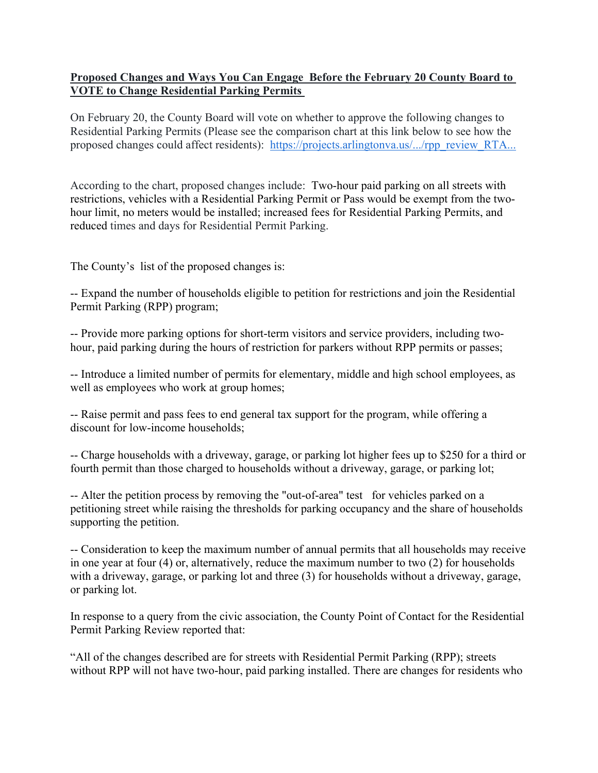## **Proposed Changes and Ways You Can Engage Before the February 20 County Board to VOTE to Change Residential Parking Permits**

On February 20, the County Board will vote on whether to approve the following changes to Residential Parking Permits (Please see the comparison chart at this link below to see how the proposed changes could affect residents): https://projects.arlingtonva.us/.../rpp\_review\_RTA...

According to the chart, proposed changes include: Two-hour paid parking on all streets with restrictions, vehicles with a Residential Parking Permit or Pass would be exempt from the twohour limit, no meters would be installed; increased fees for Residential Parking Permits, and reduced times and days for Residential Permit Parking.

The County's list of the proposed changes is:

-- Expand the number of households eligible to petition for restrictions and join the Residential Permit Parking (RPP) program;

-- Provide more parking options for short-term visitors and service providers, including twohour, paid parking during the hours of restriction for parkers without RPP permits or passes;

-- Introduce a limited number of permits for elementary, middle and high school employees, as well as employees who work at group homes;

-- Raise permit and pass fees to end general tax support for the program, while offering a discount for low-income households;

-- Charge households with a driveway, garage, or parking lot higher fees up to \$250 for a third or fourth permit than those charged to households without a driveway, garage, or parking lot;

-- Alter the petition process by removing the "out-of-area" test for vehicles parked on a petitioning street while raising the thresholds for parking occupancy and the share of households supporting the petition.

-- Consideration to keep the maximum number of annual permits that all households may receive in one year at four (4) or, alternatively, reduce the maximum number to two (2) for households with a driveway, garage, or parking lot and three (3) for households without a driveway, garage, or parking lot.

In response to a query from the civic association, the County Point of Contact for the Residential Permit Parking Review reported that:

"All of the changes described are for streets with Residential Permit Parking (RPP); streets without RPP will not have two-hour, paid parking installed. There are changes for residents who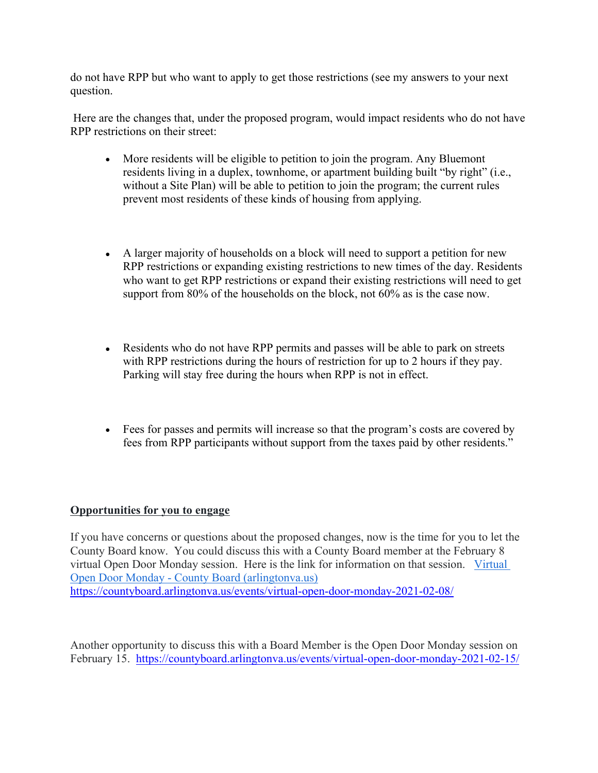do not have RPP but who want to apply to get those restrictions (see my answers to your next question.

 Here are the changes that, under the proposed program, would impact residents who do not have RPP restrictions on their street:

- More residents will be eligible to petition to join the program. Any Bluemont residents living in a duplex, townhome, or apartment building built "by right" (i.e., without a Site Plan) will be able to petition to join the program; the current rules prevent most residents of these kinds of housing from applying.
- A larger majority of households on a block will need to support a petition for new RPP restrictions or expanding existing restrictions to new times of the day. Residents who want to get RPP restrictions or expand their existing restrictions will need to get support from 80% of the households on the block, not 60% as is the case now.
- Residents who do not have RPP permits and passes will be able to park on streets with RPP restrictions during the hours of restriction for up to 2 hours if they pay. Parking will stay free during the hours when RPP is not in effect.
- Fees for passes and permits will increase so that the program's costs are covered by fees from RPP participants without support from the taxes paid by other residents."

## **Opportunities for you to engage**

If you have concerns or questions about the proposed changes, now is the time for you to let the County Board know. You could discuss this with a County Board member at the February 8 virtual Open Door Monday session. Here is the link for information on that session. Virtual Open Door Monday - County Board (arlingtonva.us) https://countyboard.arlingtonva.us/events/virtual-open-door-monday-2021-02-08/

Another opportunity to discuss this with a Board Member is the Open Door Monday session on February 15. https://countyboard.arlingtonva.us/events/virtual-open-door-monday-2021-02-15/